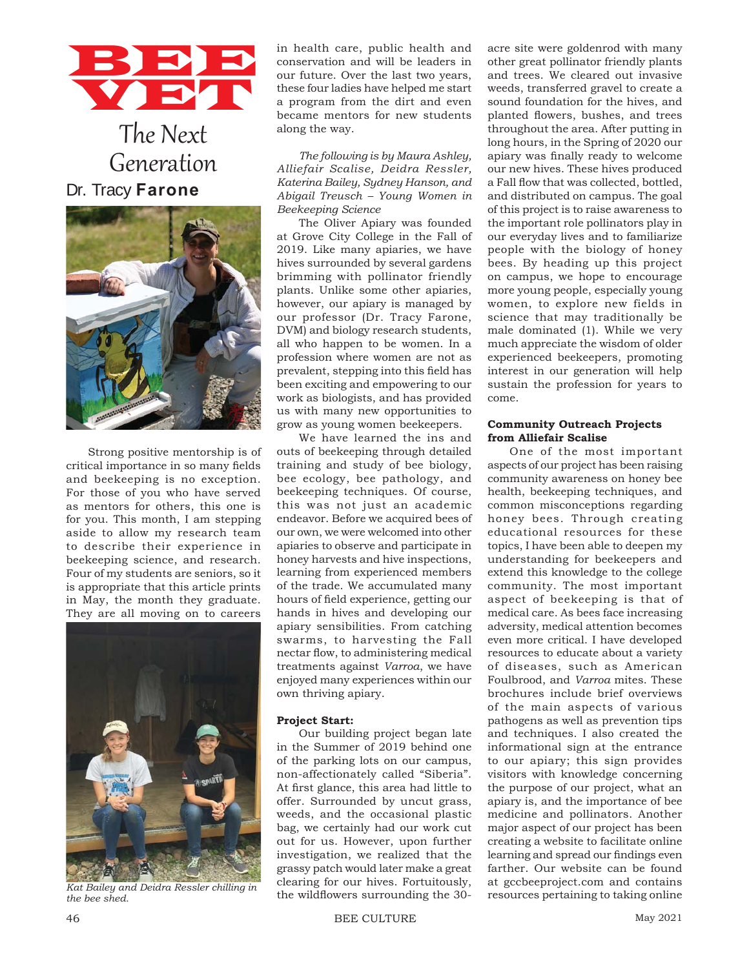# BBB VET

# The Next Generation Dr. Tracy **Farone**



Strong positive mentorship is of critical importance in so many fields and beekeeping is no exception. For those of you who have served as mentors for others, this one is for you. This month, I am stepping aside to allow my research team to describe their experience in beekeeping science, and research. Four of my students are seniors, so it is appropriate that this article prints in May, the month they graduate. They are all moving on to careers



*the bee shed.*

in health care, public health and conservation and will be leaders in our future. Over the last two years, these four ladies have helped me start a program from the dirt and even became mentors for new students along the way.

*The following is by Maura Ashley, Alliefair Scalise, Deidra Ressler, Katerina Bailey, Sydney Hanson, and Abigail Treusch – Young Women in Beekeeping Science*

The Oliver Apiary was founded at Grove City College in the Fall of 2019. Like many apiaries, we have hives surrounded by several gardens brimming with pollinator friendly plants. Unlike some other apiaries, however, our apiary is managed by our professor (Dr. Tracy Farone, DVM) and biology research students, all who happen to be women. In a profession where women are not as prevalent, stepping into this field has been exciting and empowering to our work as biologists, and has provided us with many new opportunities to grow as young women beekeepers.

We have learned the ins and outs of beekeeping through detailed training and study of bee biology, bee ecology, bee pathology, and beekeeping techniques. Of course, this was not just an academic endeavor. Before we acquired bees of our own, we were welcomed into other apiaries to observe and participate in honey harvests and hive inspections, learning from experienced members of the trade. We accumulated many hours of field experience, getting our hands in hives and developing our apiary sensibilities. From catching swarms, to harvesting the Fall nectar flow, to administering medical treatments against *Varroa*, we have enjoyed many experiences within our own thriving apiary.

#### **Project Start:**

Our building project began late in the Summer of 2019 behind one of the parking lots on our campus, non-affectionately called "Siberia". At first glance, this area had little to offer. Surrounded by uncut grass, weeds, and the occasional plastic bag, we certainly had our work cut out for us. However, upon further investigation, we realized that the grassy patch would later make a great clearing for our hives. Fortuitously, the wildflowers surrounding the 30other great pollinator friendly plants and trees. We cleared out invasive weeds, transferred gravel to create a sound foundation for the hives, and planted flowers, bushes, and trees throughout the area. After putting in long hours, in the Spring of 2020 our apiary was finally ready to welcome our new hives. These hives produced a Fall flow that was collected, bottled, and distributed on campus. The goal of this project is to raise awareness to the important role pollinators play in our everyday lives and to familiarize people with the biology of honey bees. By heading up this project on campus, we hope to encourage more young people, especially young women, to explore new fields in science that may traditionally be male dominated (1). While we very much appreciate the wisdom of older experienced beekeepers, promoting interest in our generation will help sustain the profession for years to come.

acre site were goldenrod with many

### **Community Outreach Projects from Alliefair Scalise**

One of the most important aspects of our project has been raising community awareness on honey bee health, beekeeping techniques, and common misconceptions regarding honey bees. Through creating educational resources for these topics, I have been able to deepen my understanding for beekeepers and extend this knowledge to the college community. The most important aspect of beekeeping is that of medical care. As bees face increasing adversity, medical attention becomes even more critical. I have developed resources to educate about a variety of diseases, such as American Foulbrood, and *Varroa* mites. These brochures include brief overviews of the main aspects of various pathogens as well as prevention tips and techniques. I also created the informational sign at the entrance to our apiary; this sign provides visitors with knowledge concerning the purpose of our project, what an apiary is, and the importance of bee medicine and pollinators. Another major aspect of our project has been creating a website to facilitate online learning and spread our findings even farther. Our website can be found at gccbeeproject.com and contains kat Bailey and Deidra Ressler chilling in clearing for our filters. Fortunously, at gecoeeproject.com and contains<br>the hee shed the wildflowers surrounding the 30- resources pertaining to taking online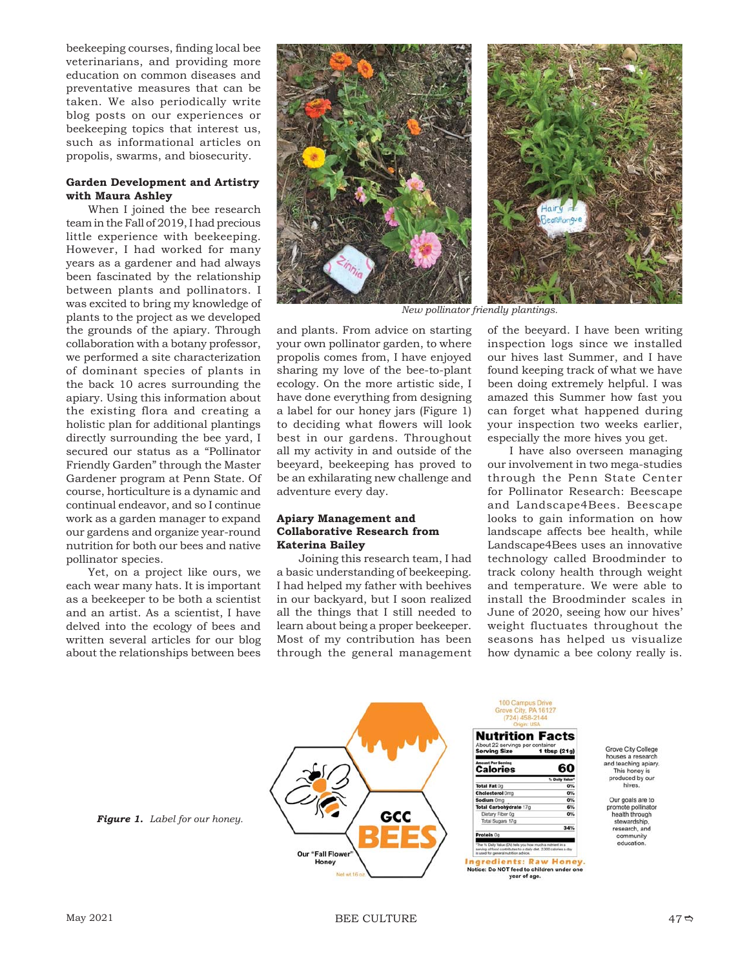beekeeping courses, finding local bee veterinarians, and providing more education on common diseases and preventative measures that can be taken. We also periodically write blog posts on our experiences or beekeeping topics that interest us, such as informational articles on propolis, swarms, and biosecurity.

# **Garden Development and Artistry with Maura Ashley**

When I joined the bee research team in the Fall of 2019, I had precious little experience with beekeeping. However, I had worked for many years as a gardener and had always been fascinated by the relationship between plants and pollinators. I was excited to bring my knowledge of plants to the project as we developed the grounds of the apiary. Through collaboration with a botany professor, we performed a site characterization of dominant species of plants in the back 10 acres surrounding the apiary. Using this information about the existing flora and creating a holistic plan for additional plantings directly surrounding the bee yard, I secured our status as a "Pollinator Friendly Garden" through the Master Gardener program at Penn State. Of course, horticulture is a dynamic and continual endeavor, and so I continue work as a garden manager to expand our gardens and organize year-round nutrition for both our bees and native pollinator species.

Yet, on a project like ours, we each wear many hats. It is important as a beekeeper to be both a scientist and an artist. As a scientist, I have delved into the ecology of bees and written several articles for our blog about the relationships between bees



*New pollinator friendly plantings.*

and plants. From advice on starting your own pollinator garden, to where propolis comes from, I have enjoyed sharing my love of the bee-to-plant ecology. On the more artistic side, I have done everything from designing a label for our honey jars (Figure 1) to deciding what flowers will look best in our gardens. Throughout all my activity in and outside of the beeyard, beekeeping has proved to be an exhilarating new challenge and adventure every day.

#### **Apiary Management and Collaborative Research from Katerina Bailey**

Joining this research team, I had a basic understanding of beekeeping. I had helped my father with beehives in our backyard, but I soon realized all the things that I still needed to learn about being a proper beekeeper. Most of my contribution has been through the general management of the beeyard. I have been writing inspection logs since we installed our hives last Summer, and I have found keeping track of what we have been doing extremely helpful. I was amazed this Summer how fast you can forget what happened during your inspection two weeks earlier, especially the more hives you get.

I have also overseen managing our involvement in two mega-studies through the Penn State Center for Pollinator Research: Beescape and Landscape4Bees. Beescape looks to gain information on how landscape affects bee health, while Landscape4Bees uses an innovative technology called Broodminder to track colony health through weight and temperature. We were able to install the Broodminder scales in June of 2020, seeing how our hives' weight fluctuates throughout the seasons has helped us visualize how dynamic a bee colony really is.



Grove City College houses a research and teaching apjary.<br>This honey is<br>produced by our **hives** 

Our goals are to promote pollinator health through stewardship,<br>research, and community education.

*Figure 1. Label for our honey.*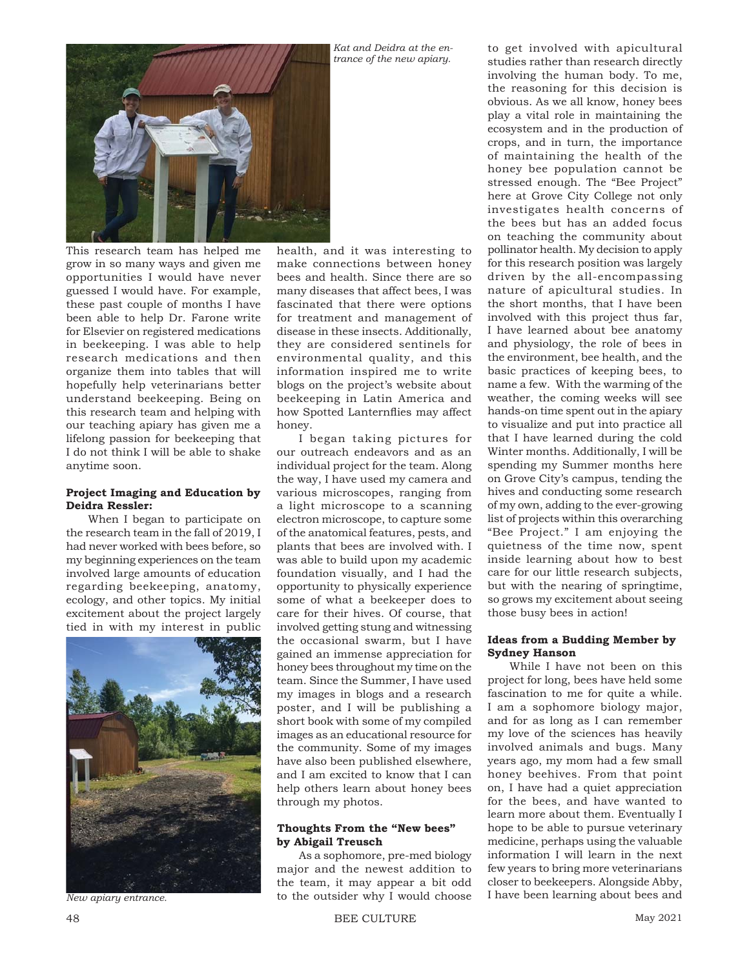

This research team has helped me grow in so many ways and given me opportunities I would have never guessed I would have. For example, these past couple of months I have been able to help Dr. Farone write for Elsevier on registered medications in beekeeping. I was able to help research medications and then organize them into tables that will hopefully help veterinarians better understand beekeeping. Being on this research team and helping with our teaching apiary has given me a lifelong passion for beekeeping that I do not think I will be able to shake anytime soon.

#### **Project Imaging and Education by Deidra Ressler:**

When I began to participate on the research team in the fall of 2019, I had never worked with bees before, so my beginning experiences on the team involved large amounts of education regarding beekeeping, anatomy, ecology, and other topics. My initial excitement about the project largely tied in with my interest in public



*New apiary entrance.*

health, and it was interesting to make connections between honey bees and health. Since there are so many diseases that affect bees, I was fascinated that there were options for treatment and management of disease in these insects. Additionally, they are considered sentinels for environmental quality, and this information inspired me to write blogs on the project's website about beekeeping in Latin America and how Spotted Lanternflies may affect honey.

*Kat and Deidra at the entrance of the new apiary.*

I began taking pictures for our outreach endeavors and as an individual project for the team. Along the way, I have used my camera and various microscopes, ranging from a light microscope to a scanning electron microscope, to capture some of the anatomical features, pests, and plants that bees are involved with. I was able to build upon my academic foundation visually, and I had the opportunity to physically experience some of what a beekeeper does to care for their hives. Of course, that involved getting stung and witnessing the occasional swarm, but I have gained an immense appreciation for honey bees throughout my time on the team. Since the Summer, I have used my images in blogs and a research poster, and I will be publishing a short book with some of my compiled images as an educational resource for the community. Some of my images have also been published elsewhere, and I am excited to know that I can help others learn about honey bees through my photos.

#### **Thoughts From the "New bees" by Abigail Treusch**

As a sophomore, pre-med biology major and the newest addition to the team, it may appear a bit odd to the outsider why I would choose

to get involved with apicultural studies rather than research directly involving the human body. To me, the reasoning for this decision is obvious. As we all know, honey bees play a vital role in maintaining the ecosystem and in the production of crops, and in turn, the importance of maintaining the health of the honey bee population cannot be stressed enough. The "Bee Project" here at Grove City College not only investigates health concerns of the bees but has an added focus on teaching the community about pollinator health. My decision to apply for this research position was largely driven by the all-encompassing nature of apicultural studies. In the short months, that I have been involved with this project thus far, I have learned about bee anatomy and physiology, the role of bees in the environment, bee health, and the basic practices of keeping bees, to name a few. With the warming of the weather, the coming weeks will see hands-on time spent out in the apiary to visualize and put into practice all that I have learned during the cold Winter months. Additionally, I will be spending my Summer months here on Grove City's campus, tending the hives and conducting some research of my own, adding to the ever-growing list of projects within this overarching "Bee Project." I am enjoying the quietness of the time now, spent inside learning about how to best care for our little research subjects, but with the nearing of springtime, so grows my excitement about seeing those busy bees in action!

# **Ideas from a Budding Member by Sydney Hanson**

While I have not been on this project for long, bees have held some fascination to me for quite a while. I am a sophomore biology major, and for as long as I can remember my love of the sciences has heavily involved animals and bugs. Many years ago, my mom had a few small honey beehives. From that point on, I have had a quiet appreciation for the bees, and have wanted to learn more about them. Eventually I hope to be able to pursue veterinary medicine, perhaps using the valuable information I will learn in the next few years to bring more veterinarians closer to beekeepers. Alongside Abby, I have been learning about bees and